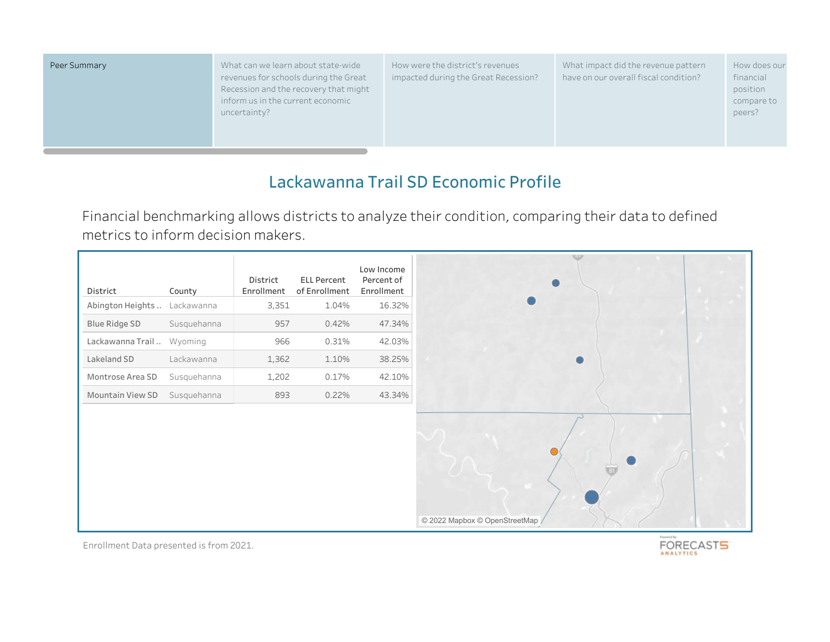Peer Summary **National State-Wide Summary** What can we learn about state-wide revenues for schools during the Great Recession and the recovery that might inform us in the current economic uncertainty?

How were the district's revenues impacted during the Great Recession? What impact did the revenue pattern have on our overall fiscal condition?

How does our financial position compare to peers?

# **Lackawanna Trail SD Economic Profile**

Financial benchmarking allows districts to analyze their condition, comparing their data to defined metrics to inform decision makers.

| District                  | County      | District<br>Enrollment | <b>ELL Percent</b><br>of Enrollment | Low Income<br>Percent of<br>Enrollment |
|---------------------------|-------------|------------------------|-------------------------------------|----------------------------------------|
| Abington Heights          | Lackawanna  | 3,351                  | 1.04%                               | 16.32%                                 |
| Blue Ridge SD             | Susquehanna | 957                    | 0.42%                               | 47.34%                                 |
| Lackawanna Trail  Wyoming |             | 966                    | 0.31%                               | 42.03%                                 |
| Lakeland SD               | Lackawanna  | 1,362                  | 1.10%                               | 38.25%                                 |
| Montrose Area SD          | Susquehanna | 1,202                  | 0.17%                               | 42.10%                                 |
| <b>Mountain View SD</b>   | Susquehanna | 893                    | 0.22%                               | 43.34%                                 |
|                           |             |                        |                                     |                                        |

Enrollment Data presented is from 2021.

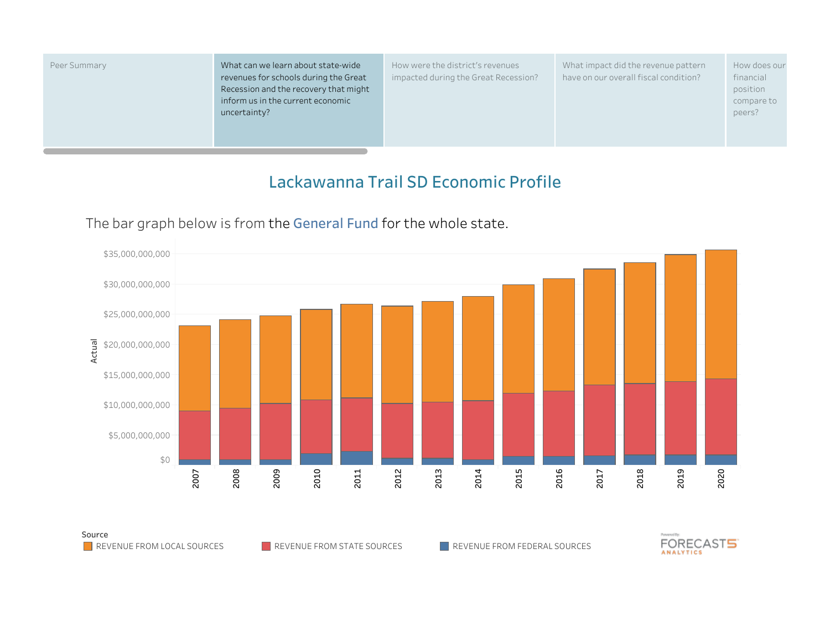| Peer Summary |  |
|--------------|--|
|--------------|--|

What can we learn about state-wide revenues for schools during the Great Recession and the recovery that might inform us in the current economic uncertainty?

How were the district's revenues impacted during the Great Recession? What impact did the revenue pattern have on our overall fiscal condition?

How does our financial position compare to peers?

## **Lackawanna Trail SD Economic Profile**



#### The bar graph below is from the **General Fund** for the whole state.

Source

REVENUE FROM LOCAL SOURCES REVENUE FROM STATE SOURCES REVENUE FROM FEDERAL SOURCES

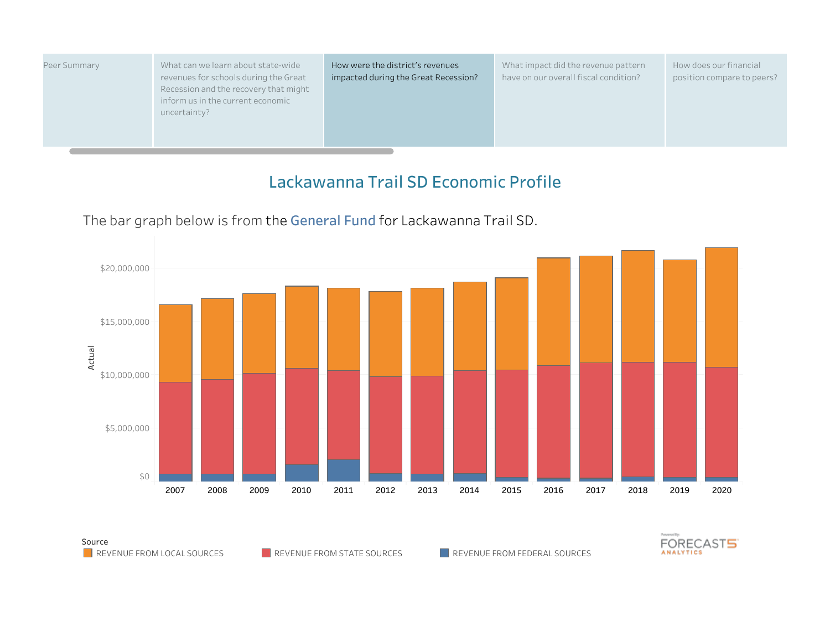| What can we learn about state-wide<br>How were the district's revenues<br>Peer Summary<br>revenues for schools during the Great<br>impacted during the Great Recession?<br>Recession and the recovery that might<br>inform us in the current economic<br>uncertainty? | What impact did the revenue pattern<br>have on our overall fiscal condition? | How does our financial<br>position compare to peers? |
|-----------------------------------------------------------------------------------------------------------------------------------------------------------------------------------------------------------------------------------------------------------------------|------------------------------------------------------------------------------|------------------------------------------------------|
|-----------------------------------------------------------------------------------------------------------------------------------------------------------------------------------------------------------------------------------------------------------------------|------------------------------------------------------------------------------|------------------------------------------------------|



# The bar graph below is from the **General Fund** for Lackawanna Trail SD.

Source



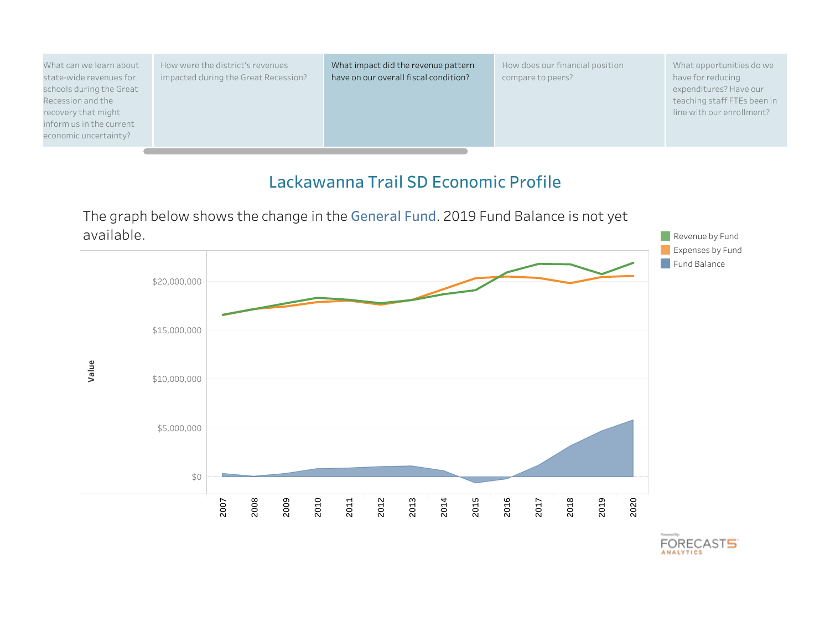

The graph below shows the change in the **General Fund**. 2019 Fund Balance is not yet

**FORECAST5**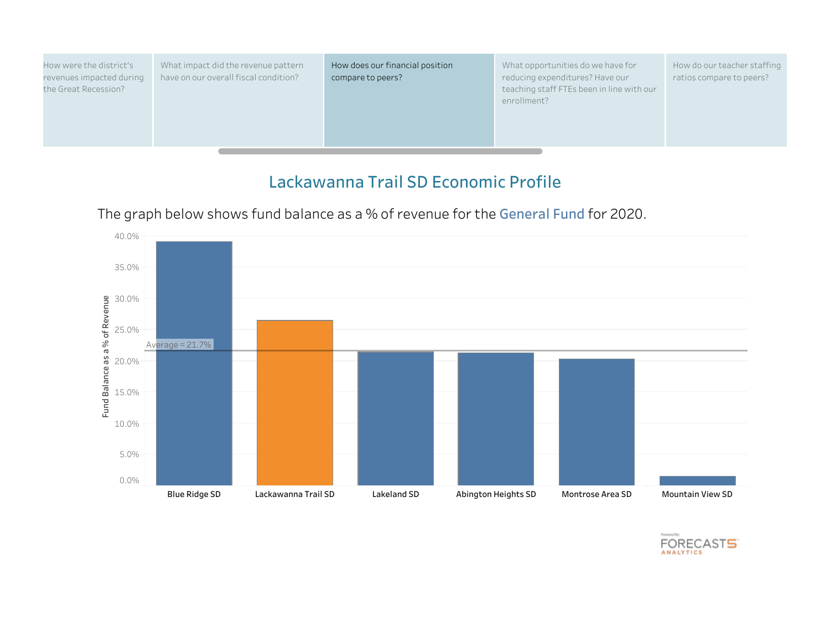| How were the district's<br>revenues impacted during<br>the Great Recession? | What impact did the revenue pattern<br>have on our overall fiscal condition? | How does our financial position<br>compare to peers? | What opportunities do we have for<br>reducing expenditures? Have our<br>teaching staff FTEs been in line with our<br>enrollment? | How do our teacher staffing<br>ratios compare to peers? |
|-----------------------------------------------------------------------------|------------------------------------------------------------------------------|------------------------------------------------------|----------------------------------------------------------------------------------------------------------------------------------|---------------------------------------------------------|
|                                                                             |                                                                              |                                                      |                                                                                                                                  |                                                         |

The graph below shows fund balance as a % of revenue for the **General Fund** for 2020.



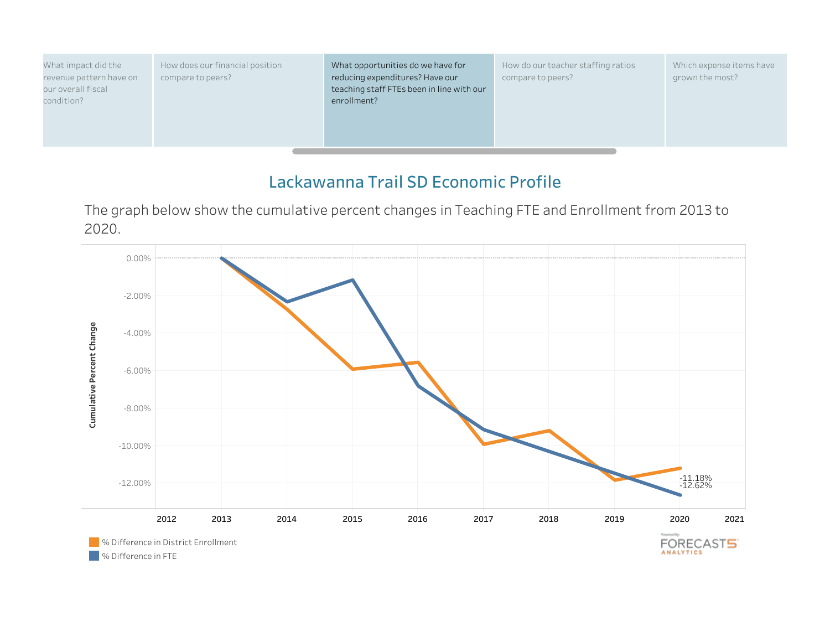What impact did the revenue pattern have on our overall fiscal condition?

How does our financial position compare to peers?

What opportunities do we have for reducing expenditures? Have our teaching staff FTEs been in line with our enrollment?

How do our teacher staffing ratios compare to peers?

Which expense items have grown the most?

# **Lackawanna Trail SD Economic Profile**

The graph below show the cumulative percent changes in Teaching FTE and Enrollment from 2013 to 2020.

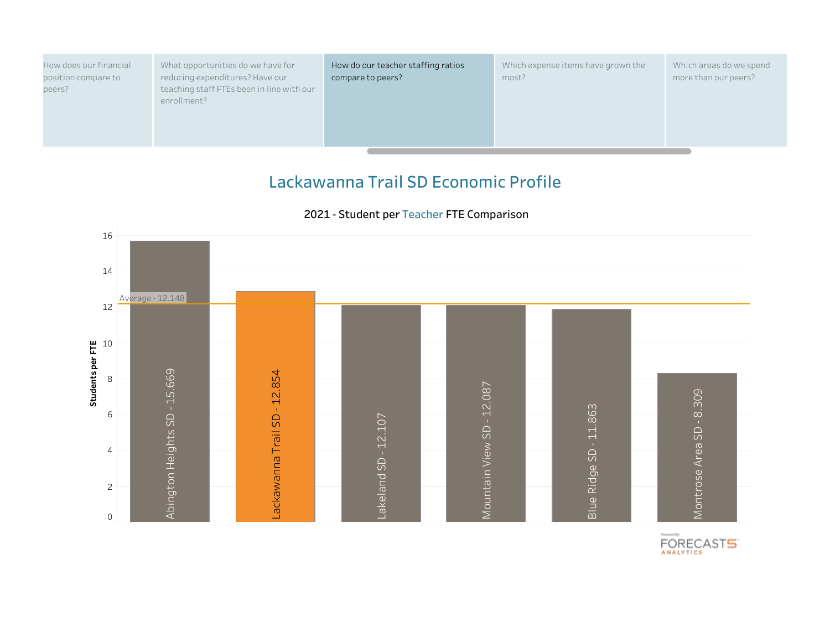| How does our financial | What opportunities do we have for         | How do our teacher staffing ratios | Which expense items have grown the | Which areas do we spend |
|------------------------|-------------------------------------------|------------------------------------|------------------------------------|-------------------------|
| position compare to    | reducing expenditures? Have our           | compare to peers?                  | most?                              | more than our peers?    |
| peers?                 | teaching staff FTEs been in line with our |                                    |                                    |                         |
|                        | enrollment?                               |                                    |                                    |                         |
|                        |                                           |                                    |                                    |                         |

#### There is no data available for this district or peer set. 2 4 6 8 10 **Students per FTE** 12 14 16 Abington H eights S D - 1 5.6 69Lackawanna Trail S D - 1 2.8 54ountain Vie wSD - 1 2.0 87ontrose Area S D - 8.3 09Rid geSD - 1 1.8 63eland SD - 1 2.1 07Average - 12.148

 $\frac{1}{\sqrt{2}}$ 

 $\geq$ 

0

#### **2021 - Student per Teacher FTE Comparison**



 $\geq$ 

Blue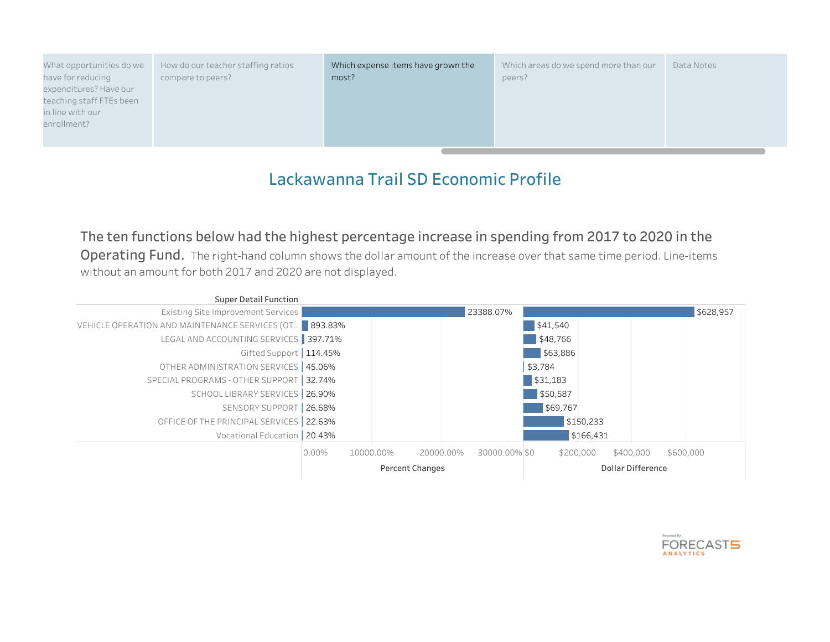What opportunities do we have for reducing expenditures? Have our teaching staff FTEs been in line with our enrollment?

How do our teacher staffing ratios compare to peers?

Which expense items have grown the most?

Which areas do we spend more than our peers? Data Notes

# **Lackawanna Trail SD Economic Profile**

### **The ten functions below had the highest percentage increase in spending from 2017 to 2020 in the**

**Operating Fund.** The right-hand column shows the dollar amount of the increase over that same time period. Line-items without an amount for both 2017 and 2020 are not displayed.



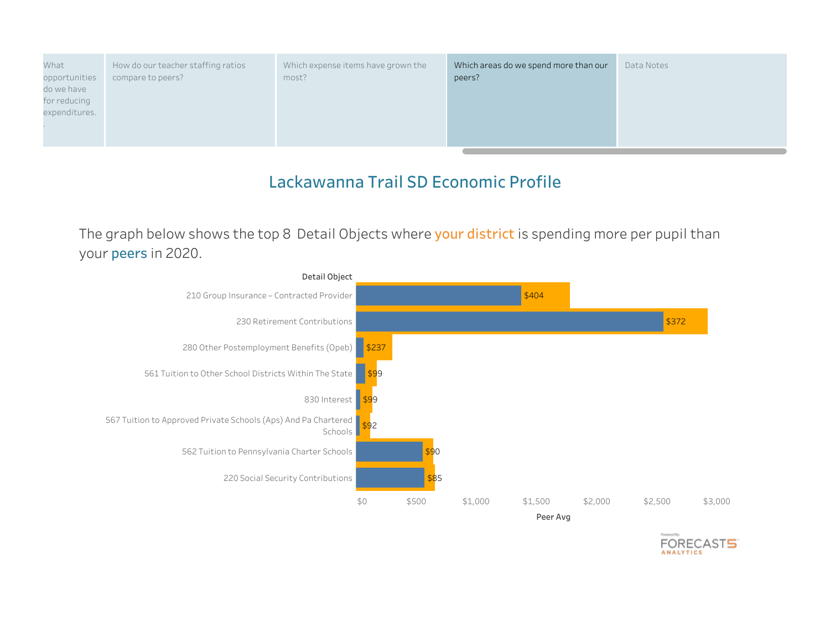What opportunities do we have for reducing expenditures.

.

How do our teacher staffing ratios compare to peers?

Which expense items have grown the most?

Which areas do we spend more than our peers? Data Notes

**FORECAST5** 

## **Lackawanna Trail SD Economic Profile**

The graph below shows the top 8 Detail Objects where **your district** is spending more per pupil than your **peers** in 2020.